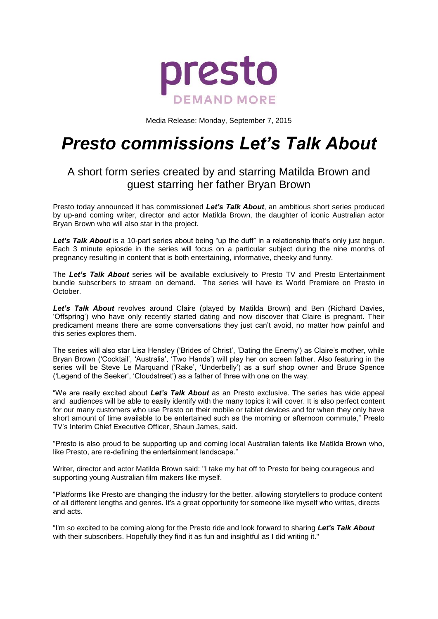

Media Release: Monday, September 7, 2015

# *Presto commissions Let's Talk About*

# A short form series created by and starring Matilda Brown and guest starring her father Bryan Brown

Presto today announced it has commissioned *Let's Talk About*, an ambitious short series produced by up-and coming writer, director and actor Matilda Brown, the daughter of iconic Australian actor Bryan Brown who will also star in the project.

Let's Talk About is a 10-part series about being "up the duff" in a relationship that's only just begun. Each 3 minute epiosde in the series will focus on a particular subject during the nine months of pregnancy resulting in content that is both entertaining, informative, cheeky and funny.

The *Let's Talk About* series will be available exclusively to Presto TV and Presto Entertainment bundle subscribers to stream on demand. The series will have its World Premiere on Presto in October.

*Let's Talk About* revolves around Claire (played by Matilda Brown) and Ben (Richard Davies, 'Offspring') who have only recently started dating and now discover that Claire is pregnant. Their predicament means there are some conversations they just can't avoid, no matter how painful and this series explores them.

The series will also star Lisa Hensley ('Brides of Christ', 'Dating the Enemy') as Claire's mother, while Bryan Brown ('Cocktail', 'Australia', 'Two Hands') will play her on screen father. Also featuring in the series will be Steve Le Marquand ('Rake', 'Underbelly') as a surf shop owner and Bruce Spence ('Legend of the Seeker', 'Cloudstreet') as a father of three with one on the way.

"We are really excited about *Let's Talk About* as an Presto exclusive. The series has wide appeal and audiences will be able to easily identify with the many topics it will cover. It is also perfect content for our many customers who use Presto on their mobile or tablet devices and for when they only have short amount of time available to be entertained such as the morning or afternoon commute," Presto TV's Interim Chief Executive Officer, Shaun James, said.

"Presto is also proud to be supporting up and coming local Australian talents like Matilda Brown who, like Presto, are re-defining the entertainment landscape."

Writer, director and actor Matilda Brown said: "I take my hat off to Presto for being courageous and supporting young Australian film makers like myself.

"Platforms like Presto are changing the industry for the better, allowing storytellers to produce content of all different lengths and genres. It's a great opportunity for someone like myself who writes, directs and acts.

"I'm so excited to be coming along for the Presto ride and look forward to sharing *Let's Talk About*  with their subscribers. Hopefully they find it as fun and insightful as I did writing it."